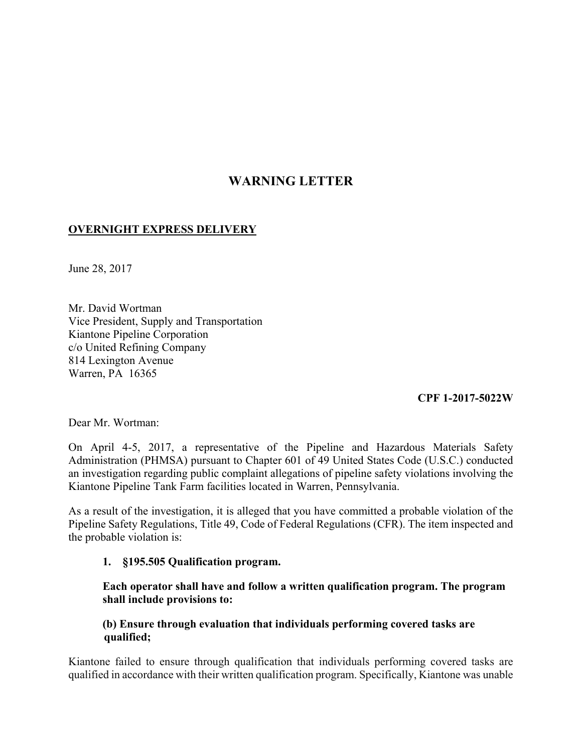# **WARNING LETTER**

## **OVERNIGHT EXPRESS DELIVERY**

June 28, 2017

Mr. David Wortman Vice President, Supply and Transportation Kiantone Pipeline Corporation c/o United Refining Company 814 Lexington Avenue Warren, PA 16365

# **CPF 1-2017-5022W**

Dear Mr. Wortman:

On April 4-5, 2017, a representative of the Pipeline and Hazardous Materials Safety Administration (PHMSA) pursuant to Chapter 601 of 49 United States Code (U.S.C.) conducted an investigation regarding public complaint allegations of pipeline safety violations involving the Kiantone Pipeline Tank Farm facilities located in Warren, Pennsylvania.

As a result of the investigation, it is alleged that you have committed a probable violation of the Pipeline Safety Regulations, Title 49, Code of Federal Regulations (CFR). The item inspected and the probable violation is:

#### **1. §195.505 Qualification program.**

**Each operator shall have and follow a written qualification program. The program shall include provisions to:**

## **(b) Ensure through evaluation that individuals performing covered tasks are qualified;**

Kiantone failed to ensure through qualification that individuals performing covered tasks are qualified in accordance with their written qualification program. Specifically, Kiantone was unable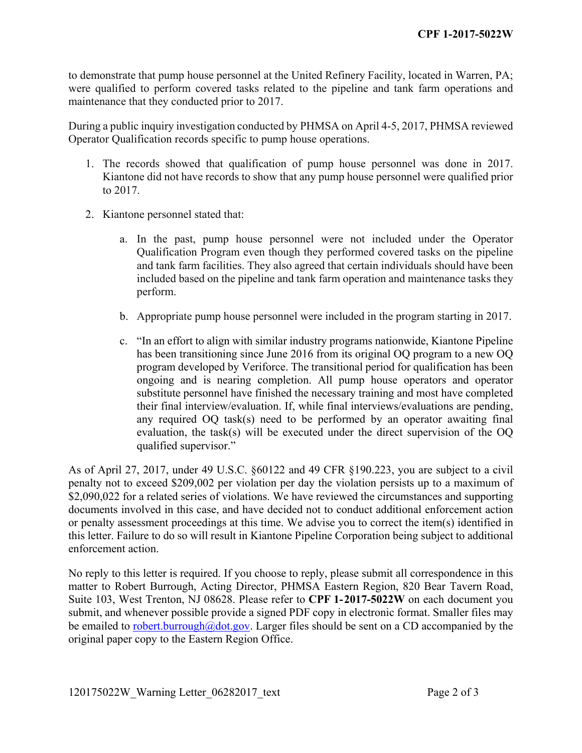to demonstrate that pump house personnel at the United Refinery Facility, located in Warren, PA; were qualified to perform covered tasks related to the pipeline and tank farm operations and maintenance that they conducted prior to 2017.

During a public inquiry investigation conducted by PHMSA on April 4-5, 2017, PHMSA reviewed Operator Qualification records specific to pump house operations.

- 1. The records showed that qualification of pump house personnel was done in 2017. Kiantone did not have records to show that any pump house personnel were qualified prior to 2017.
- 2. Kiantone personnel stated that:
	- a. In the past, pump house personnel were not included under the Operator Qualification Program even though they performed covered tasks on the pipeline and tank farm facilities. They also agreed that certain individuals should have been included based on the pipeline and tank farm operation and maintenance tasks they perform.
	- b. Appropriate pump house personnel were included in the program starting in 2017.
	- c. "In an effort to align with similar industry programs nationwide, Kiantone Pipeline has been transitioning since June 2016 from its original OQ program to a new OQ program developed by Veriforce. The transitional period for qualification has been ongoing and is nearing completion. All pump house operators and operator substitute personnel have finished the necessary training and most have completed their final interview/evaluation. If, while final interviews/evaluations are pending, any required OQ task(s) need to be performed by an operator awaiting final evaluation, the task(s) will be executed under the direct supervision of the OQ qualified supervisor."

As of April 27, 2017, under 49 U.S.C. §60122 and 49 CFR §190.223, you are subject to a civil penalty not to exceed \$209,002 per violation per day the violation persists up to a maximum of \$2,090,022 for a related series of violations. We have reviewed the circumstances and supporting documents involved in this case, and have decided not to conduct additional enforcement action or penalty assessment proceedings at this time. We advise you to correct the item(s) identified in this letter. Failure to do so will result in Kiantone Pipeline Corporation being subject to additional enforcement action.

No reply to this letter is required. If you choose to reply, please submit all correspondence in this matter to Robert Burrough, Acting Director, PHMSA Eastern Region, 820 Bear Tavern Road, Suite 103, West Trenton, NJ 08628. Please refer to **CPF 1-2017-5022W** on each document you submit, and whenever possible provide a signed PDF copy in electronic format. Smaller files may be emailed to robert.burrough@dot.gov. Larger files should be sent on a CD accompanied by the original paper copy to the Eastern Region Office.